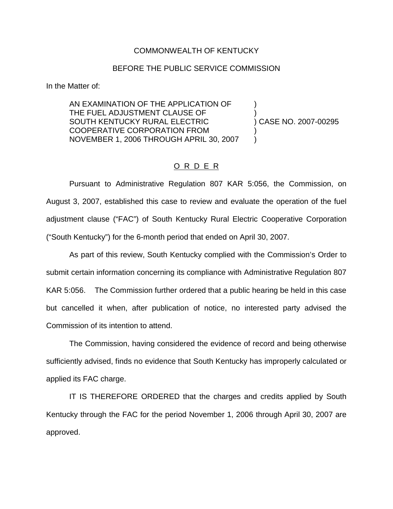## COMMONWEALTH OF KENTUCKY

## BEFORE THE PUBLIC SERVICE COMMISSION

In the Matter of:

AN EXAMINATION OF THE APPLICATION OF ) THE FUEL ADJUSTMENT CLAUSE OF SOUTH KENTUCKY RURAL ELECTRIC ) CASE NO. 2007-00295 COOPERATIVE CORPORATION FROM ) NOVEMBER 1, 2006 THROUGH APRIL 30, 2007 )

## O R D E R

Pursuant to Administrative Regulation 807 KAR 5:056, the Commission, on August 3, 2007, established this case to review and evaluate the operation of the fuel adjustment clause ("FAC") of South Kentucky Rural Electric Cooperative Corporation ("South Kentucky") for the 6-month period that ended on April 30, 2007.

As part of this review, South Kentucky complied with the Commission's Order to submit certain information concerning its compliance with Administrative Regulation 807 KAR 5:056. The Commission further ordered that a public hearing be held in this case but cancelled it when, after publication of notice, no interested party advised the Commission of its intention to attend.

The Commission, having considered the evidence of record and being otherwise sufficiently advised, finds no evidence that South Kentucky has improperly calculated or applied its FAC charge.

IT IS THEREFORE ORDERED that the charges and credits applied by South Kentucky through the FAC for the period November 1, 2006 through April 30, 2007 are approved.